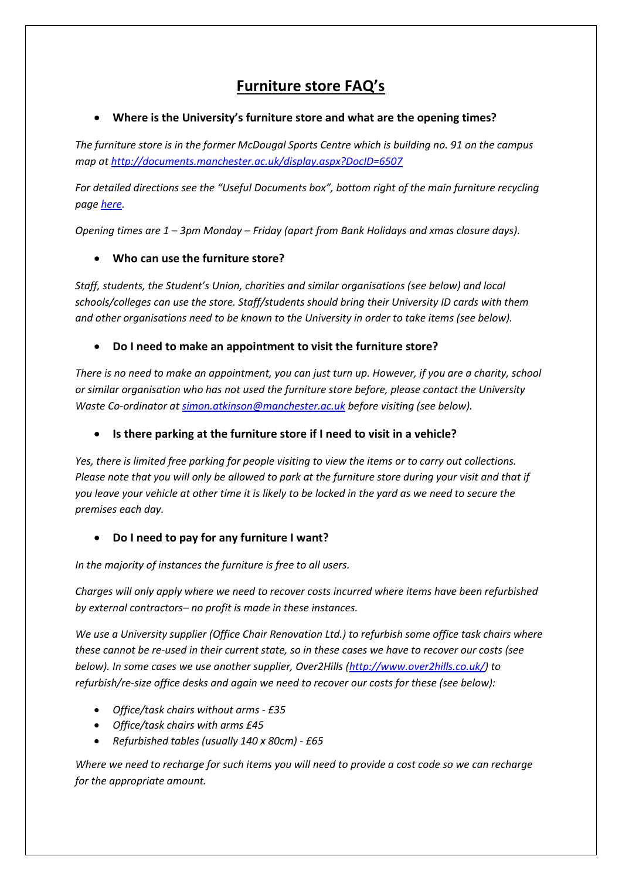# **Furniture store FAQ's**

#### **Where is the University's furniture store and what are the opening times?**

*The furniture store is in the former McDougal Sports Centre which is building no. 91 on the campus map at <http://documents.manchester.ac.uk/display.aspx?DocID=6507>*

*For detailed directions see the "Useful Documents box", bottom right of the main furniture recycling pag[e here.](http://www.estates.manchester.ac.uk/services/operationalservices/envsvcs/waste/furniturerecycling/)*

*Opening times are 1 – 3pm Monday – Friday (apart from Bank Holidays and xmas closure days).*

#### **Who can use the furniture store?**

*Staff, students, the Student's Union, charities and similar organisations (see below) and local schools/colleges can use the store. Staff/students should bring their University ID cards with them and other organisations need to be known to the University in order to take items (see below).*

#### **Do I need to make an appointment to visit the furniture store?**

*There is no need to make an appointment, you can just turn up. However, if you are a charity, school or similar organisation who has not used the furniture store before, please contact the University Waste Co-ordinator at [simon.atkinson@manchester.ac.uk](mailto:simon.atkinson@manchester.ac.uk) before visiting (see below).*

#### **Is there parking at the furniture store if I need to visit in a vehicle?**

*Yes, there is limited free parking for people visiting to view the items or to carry out collections. Please note that you will only be allowed to park at the furniture store during your visit and that if you leave your vehicle at other time it is likely to be locked in the yard as we need to secure the premises each day.*

#### **Do I need to pay for any furniture I want?**

*In the majority of instances the furniture is free to all users.*

*Charges will only apply where we need to recover costs incurred where items have been refurbished by external contractors– no profit is made in these instances.*

*We use a University supplier (Office Chair Renovation Ltd.) to refurbish some office task chairs where these cannot be re-used in their current state, so in these cases we have to recover our costs (see below). In some cases we use another supplier, Over2Hills [\(http://www.over2hills.co.uk/\)](http://www.over2hills.co.uk/) to refurbish/re-size office desks and again we need to recover our costs for these (see below):*

- *Office/task chairs without arms - £35*
- *Office/task chairs with arms £45*
- *Refurbished tables (usually 140 x 80cm) - £65*

*Where we need to recharge for such items you will need to provide a cost code so we can recharge for the appropriate amount.*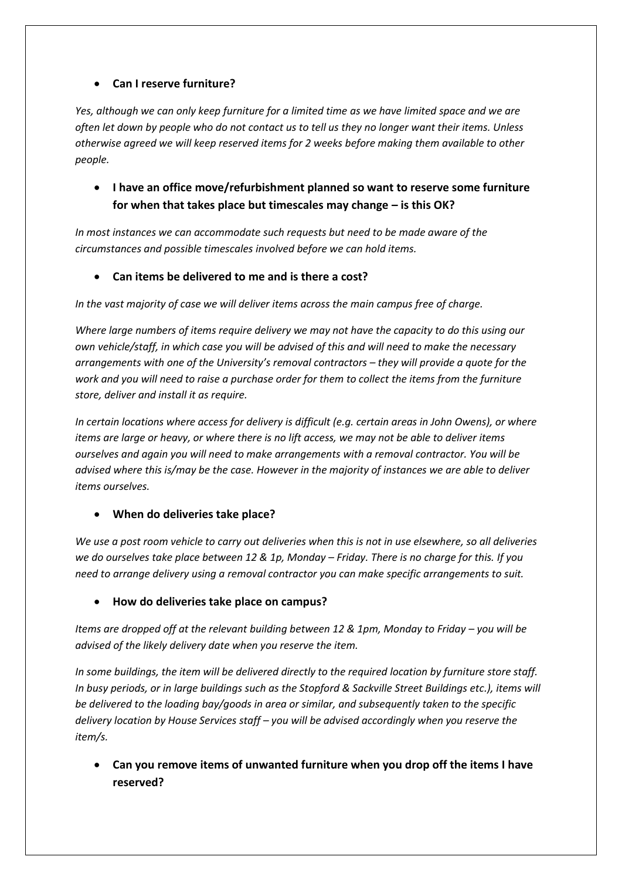### **Can I reserve furniture?**

*Yes, although we can only keep furniture for a limited time as we have limited space and we are often let down by people who do not contact us to tell us they no longer want their items. Unless otherwise agreed we will keep reserved items for 2 weeks before making them available to other people.*

 **I have an office move/refurbishment planned so want to reserve some furniture for when that takes place but timescales may change – is this OK?**

*In most instances we can accommodate such requests but need to be made aware of the circumstances and possible timescales involved before we can hold items.*

**Can items be delivered to me and is there a cost?**

*In the vast majority of case we will deliver items across the main campus free of charge.*

*Where large numbers of items require delivery we may not have the capacity to do this using our own vehicle/staff, in which case you will be advised of this and will need to make the necessary arrangements with one of the University's removal contractors – they will provide a quote for the work and you will need to raise a purchase order for them to collect the items from the furniture store, deliver and install it as require.*

*In certain locations where access for delivery is difficult (e.g. certain areas in John Owens), or where items are large or heavy, or where there is no lift access, we may not be able to deliver items ourselves and again you will need to make arrangements with a removal contractor. You will be advised where this is/may be the case. However in the majority of instances we are able to deliver items ourselves.*

#### **When do deliveries take place?**

*We use a post room vehicle to carry out deliveries when this is not in use elsewhere, so all deliveries we do ourselves take place between 12 & 1p, Monday – Friday. There is no charge for this. If you need to arrange delivery using a removal contractor you can make specific arrangements to suit.*

#### **How do deliveries take place on campus?**

*Items are dropped off at the relevant building between 12 & 1pm, Monday to Friday – you will be advised of the likely delivery date when you reserve the item.*

*In some buildings, the item will be delivered directly to the required location by furniture store staff. In busy periods, or in large buildings such as the Stopford & Sackville Street Buildings etc.), items will be delivered to the loading bay/goods in area or similar, and subsequently taken to the specific delivery location by House Services staff – you will be advised accordingly when you reserve the item/s.*

 **Can you remove items of unwanted furniture when you drop off the items I have reserved?**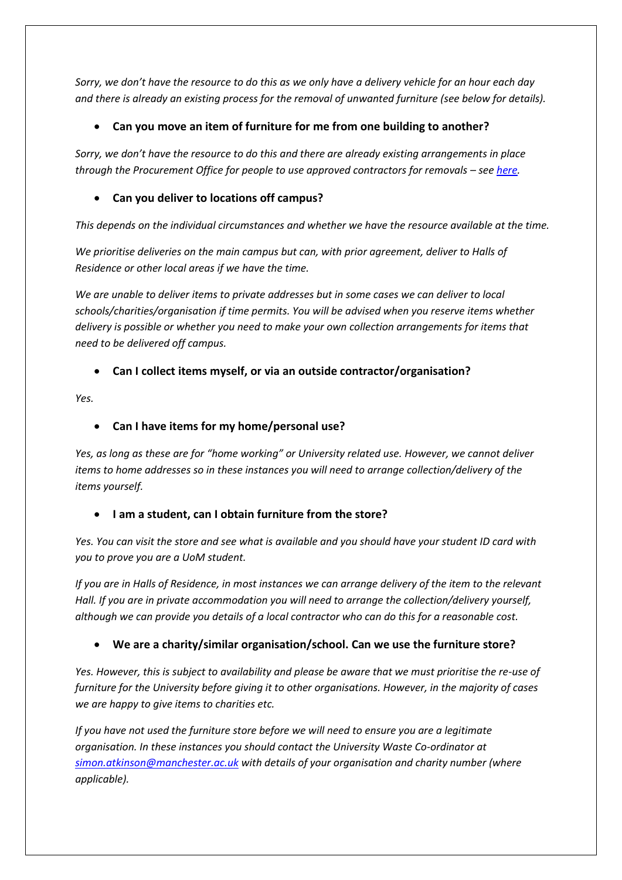*Sorry, we don't have the resource to do this as we only have a delivery vehicle for an hour each day and there is already an existing process for the removal of unwanted furniture (see below for details).*

## **Can you move an item of furniture for me from one building to another?**

*Sorry, we don't have the resource to do this and there are already existing arrangements in place through the Procurement Office for people to use approved contractors for removals – see [here.](http://www.procurement.manchester.ac.uk/buying/contract-database/)*

## **Can you deliver to locations off campus?**

*This depends on the individual circumstances and whether we have the resource available at the time.*

*We prioritise deliveries on the main campus but can, with prior agreement, deliver to Halls of Residence or other local areas if we have the time.*

*We are unable to deliver items to private addresses but in some cases we can deliver to local schools/charities/organisation if time permits. You will be advised when you reserve items whether delivery is possible or whether you need to make your own collection arrangements for items that need to be delivered off campus.*

## **Can I collect items myself, or via an outside contractor/organisation?**

*Yes.*

#### **Can I have items for my home/personal use?**

*Yes, as long as these are for "home working" or University related use. However, we cannot deliver items to home addresses so in these instances you will need to arrange collection/delivery of the items yourself.*

#### **I am a student, can I obtain furniture from the store?**

*Yes. You can visit the store and see what is available and you should have your student ID card with you to prove you are a UoM student.*

*If you are in Halls of Residence, in most instances we can arrange delivery of the item to the relevant Hall. If you are in private accommodation you will need to arrange the collection/delivery yourself, although we can provide you details of a local contractor who can do this for a reasonable cost.*

# **We are a charity/similar organisation/school. Can we use the furniture store?**

*Yes. However, this is subject to availability and please be aware that we must prioritise the re-use of furniture for the University before giving it to other organisations. However, in the majority of cases we are happy to give items to charities etc.*

*If you have not used the furniture store before we will need to ensure you are a legitimate organisation. In these instances you should contact the University Waste Co-ordinator at [simon.atkinson@manchester.ac.uk](mailto:simon.atkinson@manchester.ac.uk) with details of your organisation and charity number (where applicable).*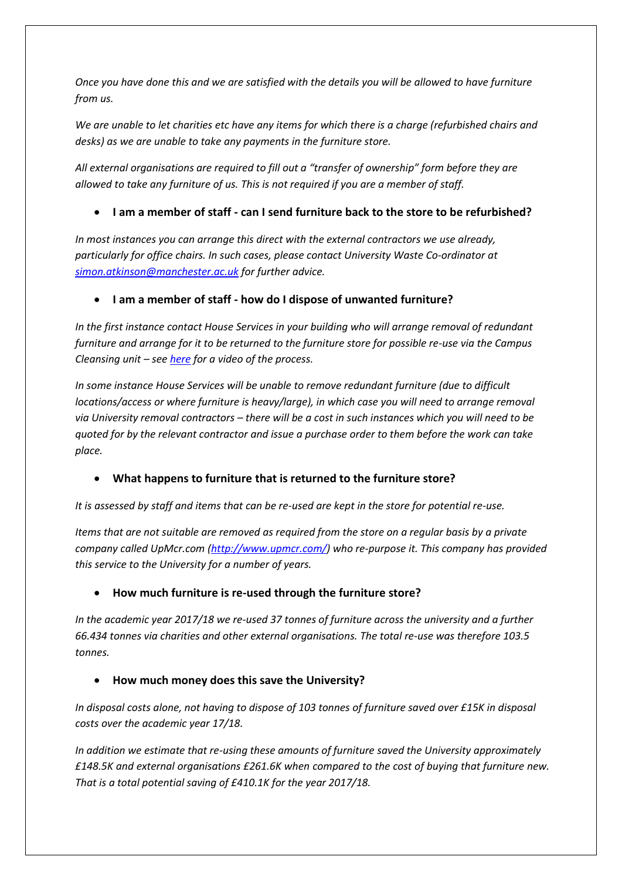*Once you have done this and we are satisfied with the details you will be allowed to have furniture from us.*

*We are unable to let charities etc have any items for which there is a charge (refurbished chairs and desks) as we are unable to take any payments in the furniture store.*

*All external organisations are required to fill out a "transfer of ownership" form before they are allowed to take any furniture of us. This is not required if you are a member of staff.*

## **I am a member of staff - can I send furniture back to the store to be refurbished?**

*In most instances you can arrange this direct with the external contractors we use already, particularly for office chairs. In such cases, please contact University Waste Co-ordinator at [simon.atkinson@manchester.ac.uk](mailto:simon.atkinson@manchester.ac.uk) for further advice.*

#### **I am a member of staff - how do I dispose of unwanted furniture?**

*In the first instance contact House Services in your building who will arrange removal of redundant furniture and arrange for it to be returned to the furniture store for possible re-use via the Campus Cleansing unit – se[e here](http://www.estates.manchester.ac.uk/services/operationalservices/envsvcs/waste/videos/furniturerecycling/) for a video of the process.*

*In some instance House Services will be unable to remove redundant furniture (due to difficult locations/access or where furniture is heavy/large), in which case you will need to arrange removal via University removal contractors – there will be a cost in such instances which you will need to be quoted for by the relevant contractor and issue a purchase order to them before the work can take place.*

#### **What happens to furniture that is returned to the furniture store?**

*It is assessed by staff and items that can be re-used are kept in the store for potential re-use.*

*Items that are not suitable are removed as required from the store on a regular basis by a private company called UpMcr.com [\(http://www.upmcr.com/\)](http://www.upmcr.com/) who re-purpose it. This company has provided this service to the University for a number of years.*

#### **How much furniture is re-used through the furniture store?**

*In the academic year 2017/18 we re-used 37 tonnes of furniture across the university and a further 66.434 tonnes via charities and other external organisations. The total re-use was therefore 103.5 tonnes.*

#### **How much money does this save the University?**

*In disposal costs alone, not having to dispose of 103 tonnes of furniture saved over £15K in disposal costs over the academic year 17/18.* 

*In addition we estimate that re-using these amounts of furniture saved the University approximately £148.5K and external organisations £261.6K when compared to the cost of buying that furniture new. That is a total potential saving of £410.1K for the year 2017/18.*